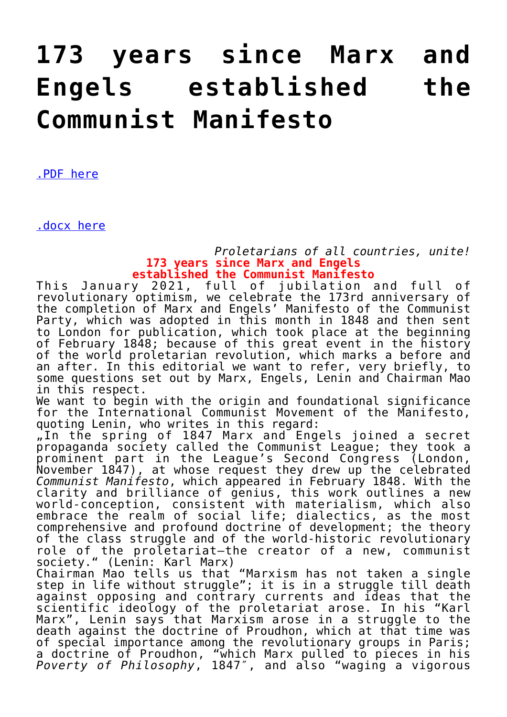## **[173 years since Marx and](https://ci-ic.org/blog/2021/01/23/173-years-since-marx-and-engels-established-the-communist-manifesto/) [Engels established the](https://ci-ic.org/blog/2021/01/23/173-years-since-marx-and-engels-established-the-communist-manifesto/) [Communist Manifesto](https://ci-ic.org/blog/2021/01/23/173-years-since-marx-and-engels-established-the-communist-manifesto/)**

[.PDF here](https://ci-ic.org/wp-content/uploads/2021/01/editorial_manifesto-1.pdf)

[.docx here](https://ci-ic.org/wp-content/uploads/2021/01/editorial_manifesto-1.docx)

## *Proletarians of all countries, unite!* **173 years since Marx and Engels established the Communist Manifesto**

This January 2021, full of jubilation and full of revolutionary optimism, we celebrate the 173rd anniversary of the completion of Marx and Engels' Manifesto of the Communist Party, which was adopted in this month in 1848 and then sent to London for publication, which took place at the beginning of February 1848; because of this great event in the history of the world proletarian revolution, which marks a before and an after. In this editorial we want to refer, very briefly, to some questions set out by Marx, Engels, Lenin and Chairman Mao in this respect.

We want to begin with the origin and foundational significance for the International Communist Movement of the Manifesto, quoting Lenin, who writes in this regard:

"In the spring of 1847 Marx and Engels joined a secret propaganda society called the Communist League; they took a prominent part in the League's Second Congress (London, November 1847), at whose request they drew up the celebrated *Communist Manifesto*, which appeared in February 1848. With the clarity and brilliance of genius, this work outlines a new world-conception, consistent with materialism, which also embrace the realm of social life; dialectics, as the most comprehensive and profound doctrine of development; the theory of the class struggle and of the world-historic revolutionary role of the proletariat—the creator of a new, communist society." (Lenin: Karl Marx)

Chairman Mao tells us that "Marxism has not taken a single step in life without struggle"; it is in a struggle till death against opposing and contrary currents and ideas that the scientific ideology of the proletariat arose. In his "Karl Marx", Lenin says that Marxism arose in a struggle to the death against the doctrine of Proudhon, which at that time was of special importance among the revolutionary groups in Paris; a doctrine of Proudhon, "which Marx pulled to pieces in his *Poverty of Philosophy*, 1847″, and also "waging a vigorous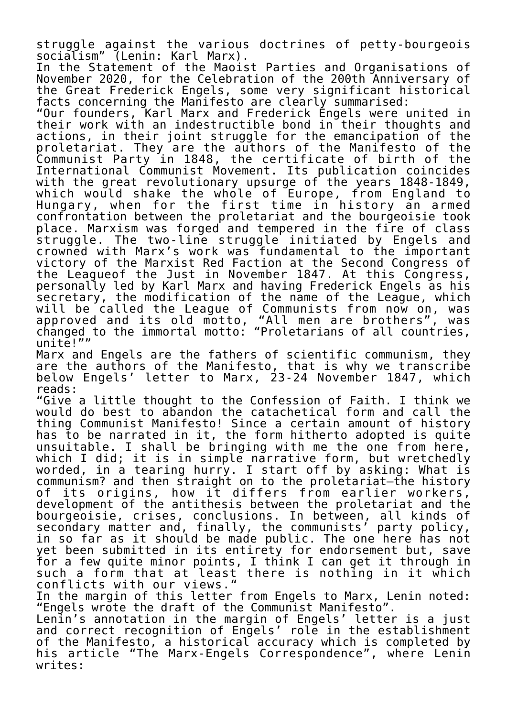struggle against the various doctrines of petty-bourgeois socialism" (Lenin: Karl Marx).

In the Statement of the Maoist Parties and Organisations of November 2020, for the Celebration of the 200th Anniversary of the Great Frederick Engels, some very significant historical facts concerning the Manifesto are clearly summarised:

"Our founders, Karl Marx and Frederick Engels were united in their work with an indestructible bond in their thoughts and actions, in their joint struggle for the emancipation of the proletariat. They are the authors of the Manifesto of the Communist Party in 1848, the certificate of birth of the International Communist Movement. Its publication coincides with the great revolutionary upsurge of the years 1848-1849, which would shake the whole of Europe, from England to Hungary, when for the first time in history an armed confrontation between the proletariat and the bourgeoisie took place. Marxism was forged and tempered in the fire of class struggle. The two-line struggle initiated by Engels and crowned with Marx's work was fundamental to the important victory of the Marxist Red Faction at the Second Congress of the Leagueof the Just in November 1847. At this Congress, personally led by Karl Marx and having Frederick Engels as his secretary, the modification of the name of the League, which will be called the League of Communists from now on, was approved and its old motto, "All men are brothers", was changed to the immortal motto: "Proletarians of all countries, unite!""

Marx and Engels are the fathers of scientific communism, they are the authors of the Manifesto, that is why we transcribe below Engels' letter to Marx, 23-24 November 1847, which reads:

"Give a little thought to the Confession of Faith. I think we would do best to abandon the catachetical form and call the thing Communist Manifesto! Since a certain amount of history has to be narrated in it, the form hitherto adopted is quite unsuitable. I shall be bringing with me the one from here, which I did; it is in simple narrative form, but wretchedly worded, in a tearing hurry. I start off by asking: What is communism? and then straight on to the proletariat—the history of its origins, how it differs from earlier workers, development of the antithesis between the proletariat and the bourgeoisie, crises, conclusions. In between, all kinds of secondary matter and, finally, the communists' party policy, in so far as it should be made public. The one here has not yet been submitted in its entirety for endorsement but, save for a few quite minor points, I think I can get it through in such a form that at least there is nothing in it which conflicts with our views."

In the margin of this letter from Engels to Marx, Lenin noted: "Engels wrote the draft of the Communist Manifesto".

Lenin's annotation in the margin of Engels' letter is a just and correct recognition of Engels' role in the establishment of the Manifesto, a historical accuracy which is completed by his article "The Marx-Engels Correspondence", where Lenin writes: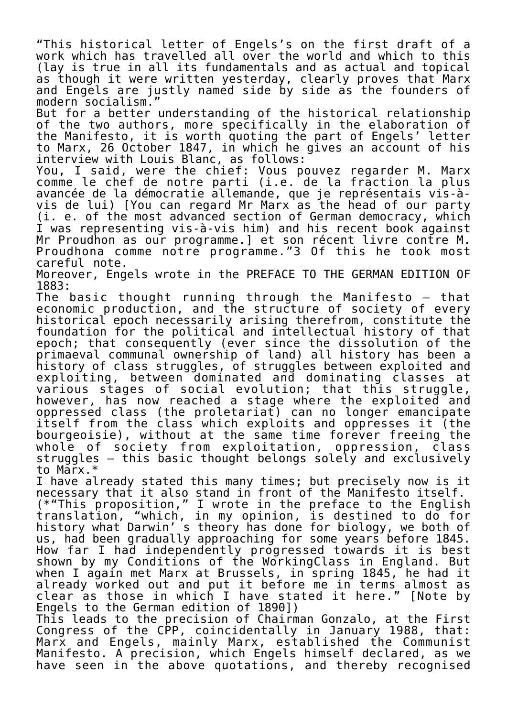"This historical letter of Engels's on the first draft of a work which has travelled all over the world and which to this (lay is true in all its fundamentals and as actual and topical as though it were written yesterday, clearly proves that Marx and Engels are justly named side by side as the founders of modern socialism."

But for a better understanding of the historical relationship of the two authors, more specifically in the elaboration of the Manifesto, it is worth quoting the part of Engels' letter to Marx, 26 October 1847, in which he gives an account of his interview with Louis Blanc, as follows:

You, I said, were the chief: Vous pouvez regarder M. Marx comme le chef de notre parti (i.e. de la fraction la plus avancée de la démocratie allemande, que je représentais vis-àvis de lui) [You can regard Mr Marx as the head of our party (i. e. of the most advanced section of German democracy, which I was representing vis-à-vis him) and his recent book against Mr Proudhon as our programme.] et son récent livre contre M. Proudhona comme notre programme."3 Of this he took most careful note.

Moreover, Engels wrote in the PREFACE TO THE GERMAN EDITION OF 1883:

The basic thought running through the Manifesto – that economic production, and the structure of society of every historical epoch necessarily arising therefrom, constitute the foundation for the political and intellectual history of that epoch; that consequently (ever since the dissolution of the primaeval communal ownership of land) all history has been a history of class struggles, of struggles between exploited and exploiting, between dominated and dominating classes at various stages of social evolution; that this struggle, however, has now reached a stage where the exploited and oppressed class (the proletariat) can no longer emancipate itself from the class which exploits and oppresses it (the bourgeoisie), without at the same time forever freeing the whole of society from exploitation, oppression, class struggles – this basic thought belongs solely and exclusively to Marx.\*

I have already stated this many times; but precisely now is it necessary that it also stand in front of the Manifesto itself. (\*"This proposition," I wrote in the preface to the English translation, "which, in my opinion, is destined to do for history what Darwin' s theory has done for biology, we both of us, had been gradually approaching for some years before 1845. How far I had independently progressed towards it is best shown by my Conditions of the WorkingClass in England. But when I again met Marx at Brussels, in spring 1845, he had it already worked out and put it before me in terms almost as clear as those in which I have stated it here." [Note by Engels to the German edition of 1890])

This leads to the precision of Chairman Gonzalo, at the First Congress of the CPP, coincidentally in January 1988, that: Marx and Engels, mainly Marx, established the Communist Manifesto. A precision, which Engels himself declared, as we have seen in the above quotations, and thereby recognised